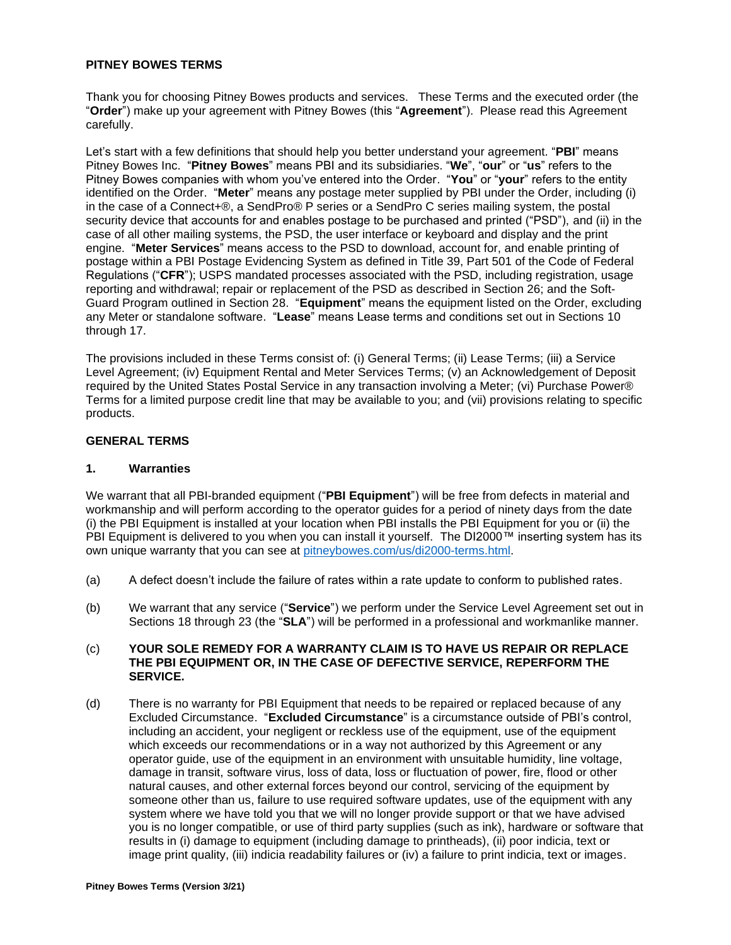#### **PITNEY BOWES TERMS**

Thank you for choosing Pitney Bowes products and services. These Terms and the executed order (the "**Order**") make up your agreement with Pitney Bowes (this "**Agreement**"). Please read this Agreement carefully.

Let's start with a few definitions that should help you better understand your agreement. "**PBI**" means Pitney Bowes Inc. "**Pitney Bowes**" means PBI and its subsidiaries. "**We**", "**our**" or "**us**" refers to the Pitney Bowes companies with whom you've entered into the Order. "**You**" or "**your**" refers to the entity identified on the Order. "**Meter**" means any postage meter supplied by PBI under the Order, including (i) in the case of a Connect+®, a SendPro® P series or a SendPro C series mailing system, the postal security device that accounts for and enables postage to be purchased and printed ("PSD"), and (ii) in the case of all other mailing systems, the PSD, the user interface or keyboard and display and the print engine. "**Meter Services**" means access to the PSD to download, account for, and enable printing of postage within a PBI Postage Evidencing System as defined in Title 39, Part 501 of the Code of Federal Regulations ("**CFR**"); USPS mandated processes associated with the PSD, including registration, usage reporting and withdrawal; repair or replacement of the PSD as described in Section 26; and the Soft-Guard Program outlined in Section 28. "**Equipment**" means the equipment listed on the Order, excluding any Meter or standalone software. "**Lease**" means Lease terms and conditions set out in Sections 10 through 17.

The provisions included in these Terms consist of: (i) General Terms; (ii) Lease Terms; (iii) a Service Level Agreement; (iv) Equipment Rental and Meter Services Terms; (v) an Acknowledgement of Deposit required by the United States Postal Service in any transaction involving a Meter; (vi) Purchase Power® Terms for a limited purpose credit line that may be available to you; and (vii) provisions relating to specific products.

# **GENERAL TERMS**

#### **1. Warranties**

We warrant that all PBI-branded equipment ("**PBI Equipment**") will be free from defects in material and workmanship and will perform according to the operator guides for a period of ninety days from the date (i) the PBI Equipment is installed at your location when PBI installs the PBI Equipment for you or (ii) the PBI Equipment is delivered to you when you can install it yourself. The DI2000™ inserting system has its own unique warranty that you can see at [pitneybowes.com/us/di2000-terms.html.](http://www.pitneybowes.com/us/di2000-terms.html)

- (a) A defect doesn't include the failure of rates within a rate update to conform to published rates.
- (b) We warrant that any service ("**Service**") we perform under the Service Level Agreement set out in Sections 18 through 23 (the "**SLA**") will be performed in a professional and workmanlike manner.

#### (c) **YOUR SOLE REMEDY FOR A WARRANTY CLAIM IS TO HAVE US REPAIR OR REPLACE THE PBI EQUIPMENT OR, IN THE CASE OF DEFECTIVE SERVICE, REPERFORM THE SERVICE.**

(d) There is no warranty for PBI Equipment that needs to be repaired or replaced because of any Excluded Circumstance. "**Excluded Circumstance**" is a circumstance outside of PBI's control, including an accident, your negligent or reckless use of the equipment, use of the equipment which exceeds our recommendations or in a way not authorized by this Agreement or any operator guide, use of the equipment in an environment with unsuitable humidity, line voltage, damage in transit, software virus, loss of data, loss or fluctuation of power, fire, flood or other natural causes, and other external forces beyond our control, servicing of the equipment by someone other than us, failure to use required software updates, use of the equipment with any system where we have told you that we will no longer provide support or that we have advised you is no longer compatible, or use of third party supplies (such as ink), hardware or software that results in (i) damage to equipment (including damage to printheads), (ii) poor indicia, text or image print quality, (iii) indicia readability failures or (iv) a failure to print indicia, text or images.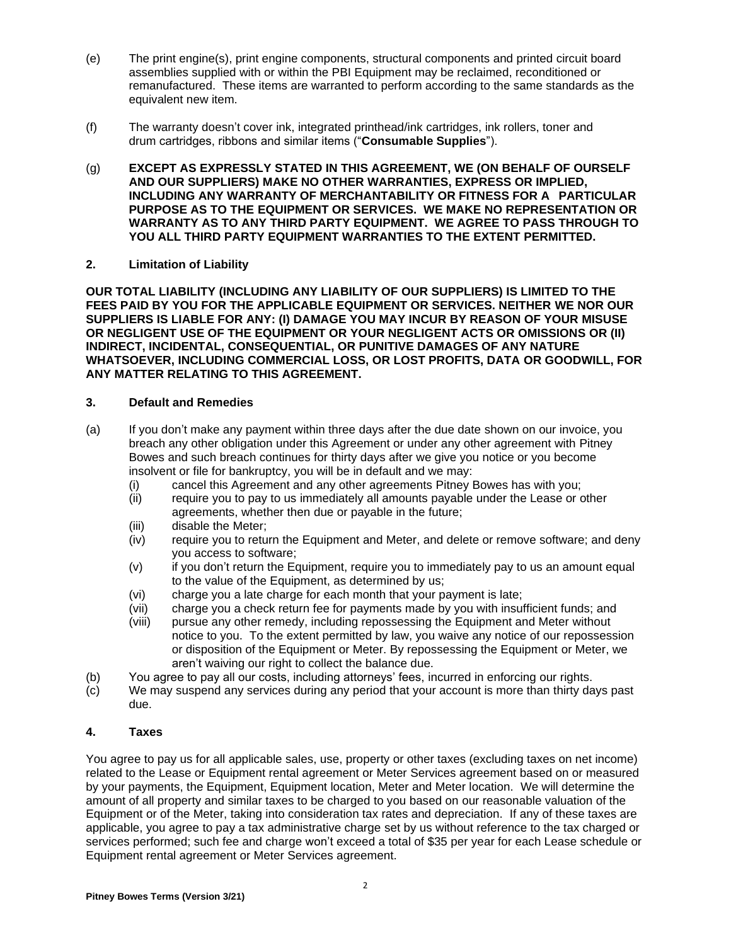- (e) The print engine(s), print engine components, structural components and printed circuit board assemblies supplied with or within the PBI Equipment may be reclaimed, reconditioned or remanufactured. These items are warranted to perform according to the same standards as the equivalent new item.
- (f) The warranty doesn't cover ink, integrated printhead/ink cartridges, ink rollers, toner and drum cartridges, ribbons and similar items ("**Consumable Supplies**").
- (g) **EXCEPT AS EXPRESSLY STATED IN THIS AGREEMENT, WE (ON BEHALF OF OURSELF AND OUR SUPPLIERS) MAKE NO OTHER WARRANTIES, EXPRESS OR IMPLIED, INCLUDING ANY WARRANTY OF MERCHANTABILITY OR FITNESS FOR A PARTICULAR PURPOSE AS TO THE EQUIPMENT OR SERVICES. WE MAKE NO REPRESENTATION OR WARRANTY AS TO ANY THIRD PARTY EQUIPMENT. WE AGREE TO PASS THROUGH TO YOU ALL THIRD PARTY EQUIPMENT WARRANTIES TO THE EXTENT PERMITTED.**

## **2. Limitation of Liability**

**OUR TOTAL LIABILITY (INCLUDING ANY LIABILITY OF OUR SUPPLIERS) IS LIMITED TO THE FEES PAID BY YOU FOR THE APPLICABLE EQUIPMENT OR SERVICES. NEITHER WE NOR OUR SUPPLIERS IS LIABLE FOR ANY: (I) DAMAGE YOU MAY INCUR BY REASON OF YOUR MISUSE OR NEGLIGENT USE OF THE EQUIPMENT OR YOUR NEGLIGENT ACTS OR OMISSIONS OR (II) INDIRECT, INCIDENTAL, CONSEQUENTIAL, OR PUNITIVE DAMAGES OF ANY NATURE WHATSOEVER, INCLUDING COMMERCIAL LOSS, OR LOST PROFITS, DATA OR GOODWILL, FOR ANY MATTER RELATING TO THIS AGREEMENT.**

## **3. Default and Remedies**

- (a) If you don't make any payment within three days after the due date shown on our invoice, you breach any other obligation under this Agreement or under any other agreement with Pitney Bowes and such breach continues for thirty days after we give you notice or you become insolvent or file for bankruptcy, you will be in default and we may:
	- (i) cancel this Agreement and any other agreements Pitney Bowes has with you;
	- (ii) require you to pay to us immediately all amounts payable under the Lease or other agreements, whether then due or payable in the future;
	- (iii) disable the Meter;
	- (iv) require you to return the Equipment and Meter, and delete or remove software; and deny you access to software;
	- (v) if you don't return the Equipment, require you to immediately pay to us an amount equal to the value of the Equipment, as determined by us;
	- (vi) charge you a late charge for each month that your payment is late;
	- (vii) charge you a check return fee for payments made by you with insufficient funds; and
	- (viii) pursue any other remedy, including repossessing the Equipment and Meter without notice to you. To the extent permitted by law, you waive any notice of our repossession or disposition of the Equipment or Meter. By repossessing the Equipment or Meter, we aren't waiving our right to collect the balance due.
- (b) You agree to pay all our costs, including attorneys' fees, incurred in enforcing our rights.
- (c) We may suspend any services during any period that your account is more than thirty days past due.

#### **4. Taxes**

You agree to pay us for all applicable sales, use, property or other taxes (excluding taxes on net income) related to the Lease or Equipment rental agreement or Meter Services agreement based on or measured by your payments, the Equipment, Equipment location, Meter and Meter location. We will determine the amount of all property and similar taxes to be charged to you based on our reasonable valuation of the Equipment or of the Meter, taking into consideration tax rates and depreciation. If any of these taxes are applicable, you agree to pay a tax administrative charge set by us without reference to the tax charged or services performed; such fee and charge won't exceed a total of \$35 per year for each Lease schedule or Equipment rental agreement or Meter Services agreement.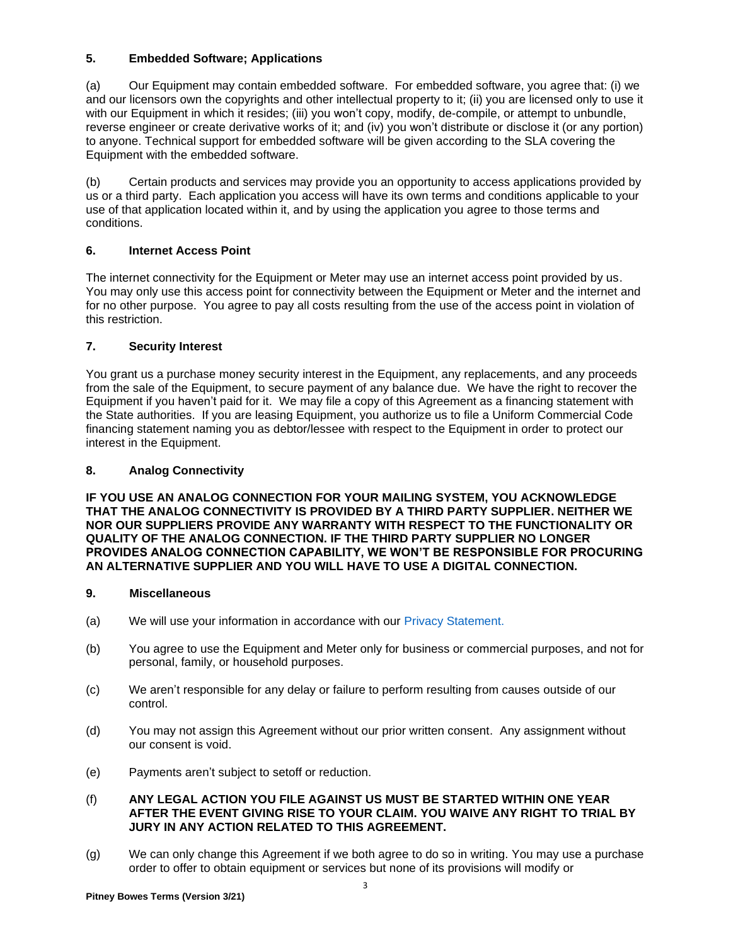# **5. Embedded Software; Applications**

(a) Our Equipment may contain embedded software. For embedded software, you agree that: (i) we and our licensors own the copyrights and other intellectual property to it; (ii) you are licensed only to use it with our Equipment in which it resides; (iii) you won't copy, modify, de-compile, or attempt to unbundle, reverse engineer or create derivative works of it; and (iv) you won't distribute or disclose it (or any portion) to anyone. Technical support for embedded software will be given according to the SLA covering the Equipment with the embedded software.

(b) Certain products and services may provide you an opportunity to access applications provided by us or a third party. Each application you access will have its own terms and conditions applicable to your use of that application located within it, and by using the application you agree to those terms and conditions.

# **6. Internet Access Point**

The internet connectivity for the Equipment or Meter may use an internet access point provided by us. You may only use this access point for connectivity between the Equipment or Meter and the internet and for no other purpose. You agree to pay all costs resulting from the use of the access point in violation of this restriction.

# **7. Security Interest**

You grant us a purchase money security interest in the Equipment, any replacements, and any proceeds from the sale of the Equipment, to secure payment of any balance due. We have the right to recover the Equipment if you haven't paid for it. We may file a copy of this Agreement as a financing statement with the State authorities. If you are leasing Equipment, you authorize us to file a Uniform Commercial Code financing statement naming you as debtor/lessee with respect to the Equipment in order to protect our interest in the Equipment.

# **8. Analog Connectivity**

**IF YOU USE AN ANALOG CONNECTION FOR YOUR MAILING SYSTEM, YOU ACKNOWLEDGE THAT THE ANALOG CONNECTIVITY IS PROVIDED BY A THIRD PARTY SUPPLIER. NEITHER WE NOR OUR SUPPLIERS PROVIDE ANY WARRANTY WITH RESPECT TO THE FUNCTIONALITY OR QUALITY OF THE ANALOG CONNECTION. IF THE THIRD PARTY SUPPLIER NO LONGER PROVIDES ANALOG CONNECTION CAPABILITY, WE WON'T BE RESPONSIBLE FOR PROCURING AN ALTERNATIVE SUPPLIER AND YOU WILL HAVE TO USE A DIGITAL CONNECTION.**

# **9. Miscellaneous**

- (a) We will use your information in accordance with our [Privacy Statement.](http://www.pitneybowes.com/us/legal/privacy-statement.html)
- (b) You agree to use the Equipment and Meter only for business or commercial purposes, and not for personal, family, or household purposes.
- (c) We aren't responsible for any delay or failure to perform resulting from causes outside of our control.
- (d) You may not assign this Agreement without our prior written consent. Any assignment without our consent is void.
- (e) Payments aren't subject to setoff or reduction.

## (f) **ANY LEGAL ACTION YOU FILE AGAINST US MUST BE STARTED WITHIN ONE YEAR AFTER THE EVENT GIVING RISE TO YOUR CLAIM. YOU WAIVE ANY RIGHT TO TRIAL BY JURY IN ANY ACTION RELATED TO THIS AGREEMENT.**

(g) We can only change this Agreement if we both agree to do so in writing. You may use a purchase order to offer to obtain equipment or services but none of its provisions will modify or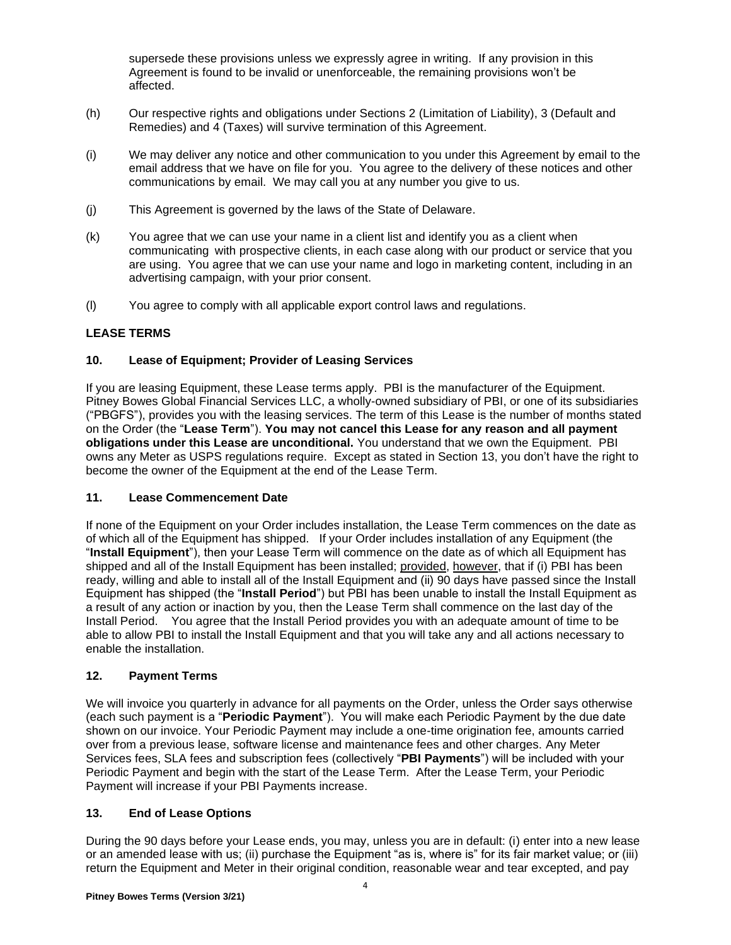supersede these provisions unless we expressly agree in writing. If any provision in this Agreement is found to be invalid or unenforceable, the remaining provisions won't be affected.

- (h) Our respective rights and obligations under Sections 2 (Limitation of Liability), 3 (Default and Remedies) and 4 (Taxes) will survive termination of this Agreement.
- (i) We may deliver any notice and other communication to you under this Agreement by email to the email address that we have on file for you. You agree to the delivery of these notices and other communications by email. We may call you at any number you give to us.
- (j) This Agreement is governed by the laws of the State of Delaware.
- (k) You agree that we can use your name in a client list and identify you as a client when communicating with prospective clients, in each case along with our product or service that you are using. You agree that we can use your name and logo in marketing content, including in an advertising campaign, with your prior consent.
- (l) You agree to comply with all applicable export control laws and regulations.

# **LEASE TERMS**

## **10. Lease of Equipment; Provider of Leasing Services**

If you are leasing Equipment, these Lease terms apply. PBI is the manufacturer of the Equipment. Pitney Bowes Global Financial Services LLC, a wholly-owned subsidiary of PBI, or one of its subsidiaries ("PBGFS"), provides you with the leasing services. The term of this Lease is the number of months stated on the Order (the "**Lease Term**"). **You may not cancel this Lease for any reason and all payment obligations under this Lease are unconditional.** You understand that we own the Equipment. PBI owns any Meter as USPS regulations require. Except as stated in Section 13, you don't have the right to become the owner of the Equipment at the end of the Lease Term.

#### **11. Lease Commencement Date**

If none of the Equipment on your Order includes installation, the Lease Term commences on the date as of which all of the Equipment has shipped. If your Order includes installation of any Equipment (the "**Install Equipment**"), then your Lease Term will commence on the date as of which all Equipment has shipped and all of the Install Equipment has been installed; provided, however, that if (i) PBI has been ready, willing and able to install all of the Install Equipment and (ii) 90 days have passed since the Install Equipment has shipped (the "**Install Period**") but PBI has been unable to install the Install Equipment as a result of any action or inaction by you, then the Lease Term shall commence on the last day of the Install Period. You agree that the Install Period provides you with an adequate amount of time to be able to allow PBI to install the Install Equipment and that you will take any and all actions necessary to enable the installation.

## **12. Payment Terms**

We will invoice you quarterly in advance for all payments on the Order, unless the Order says otherwise (each such payment is a "**Periodic Payment**"). You will make each Periodic Payment by the due date shown on our invoice. Your Periodic Payment may include a one-time origination fee, amounts carried over from a previous lease, software license and maintenance fees and other charges. Any Meter Services fees, SLA fees and subscription fees (collectively "**PBI Payments**") will be included with your Periodic Payment and begin with the start of the Lease Term. After the Lease Term, your Periodic Payment will increase if your PBI Payments increase.

#### **13. End of Lease Options**

During the 90 days before your Lease ends, you may, unless you are in default: (i) enter into a new lease or an amended lease with us; (ii) purchase the Equipment "as is, where is" for its fair market value; or (iii) return the Equipment and Meter in their original condition, reasonable wear and tear excepted, and pay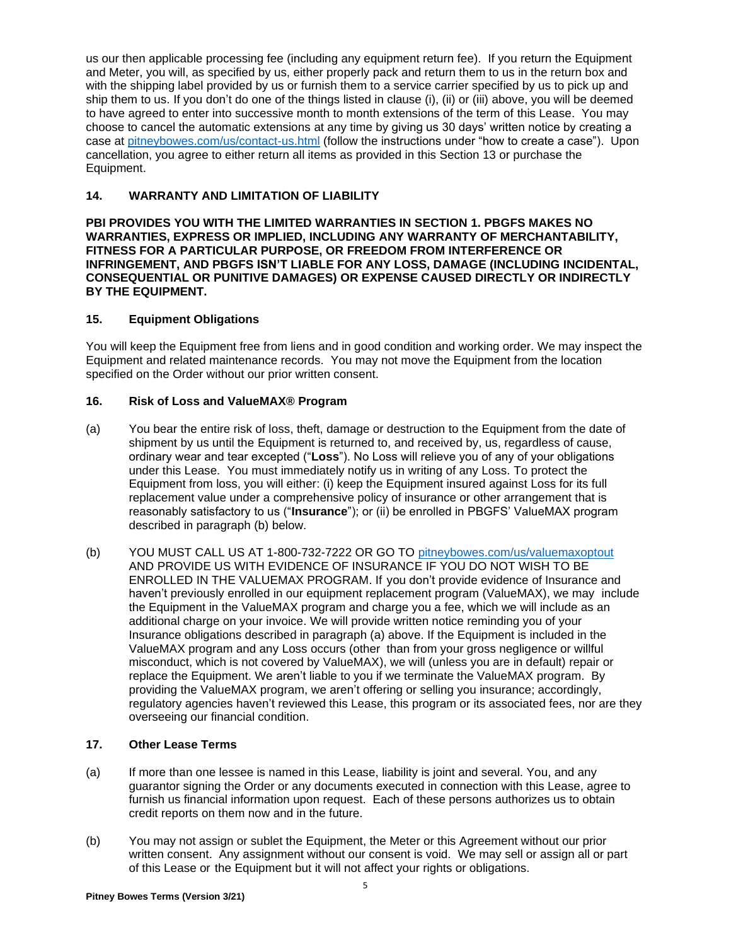us our then applicable processing fee (including any equipment return fee). If you return the Equipment and Meter, you will, as specified by us, either properly pack and return them to us in the return box and with the shipping label provided by us or furnish them to a service carrier specified by us to pick up and ship them to us. If you don't do one of the things listed in clause (i), (ii) or (iii) above, you will be deemed to have agreed to enter into successive month to month extensions of the term of this Lease. You may choose to cancel the automatic extensions at any time by giving us 30 days' written notice by creating a case at [pitneybowes.com/us/contact-us.html](http://www.pitneybowes.com/us/contact-us.html) (follow the instructions under "how to create a case"). Upon cancellation, you agree to either return all items as provided in this Section 13 or purchase the Equipment.

## **14. WARRANTY AND LIMITATION OF LIABILITY**

**PBI PROVIDES YOU WITH THE LIMITED WARRANTIES IN SECTION 1. PBGFS MAKES NO WARRANTIES, EXPRESS OR IMPLIED, INCLUDING ANY WARRANTY OF MERCHANTABILITY, FITNESS FOR A PARTICULAR PURPOSE, OR FREEDOM FROM INTERFERENCE OR INFRINGEMENT, AND PBGFS ISN'T LIABLE FOR ANY LOSS, DAMAGE (INCLUDING INCIDENTAL, CONSEQUENTIAL OR PUNITIVE DAMAGES) OR EXPENSE CAUSED DIRECTLY OR INDIRECTLY BY THE EQUIPMENT.**

## **15. Equipment Obligations**

You will keep the Equipment free from liens and in good condition and working order. We may inspect the Equipment and related maintenance records. You may not move the Equipment from the location specified on the Order without our prior written consent.

## **16. Risk of Loss and ValueMAX® Program**

- (a) You bear the entire risk of loss, theft, damage or destruction to the Equipment from the date of shipment by us until the Equipment is returned to, and received by, us, regardless of cause, ordinary wear and tear excepted ("**Loss**"). No Loss will relieve you of any of your obligations under this Lease. You must immediately notify us in writing of any Loss. To protect the Equipment from loss, you will either: (i) keep the Equipment insured against Loss for its full replacement value under a comprehensive policy of insurance or other arrangement that is reasonably satisfactory to us ("**Insurance**"); or (ii) be enrolled in PBGFS' ValueMAX program described in paragraph (b) below.
- (b) YOU MUST CALL US AT 1-800-732-7222 OR GO TO [pitneybowes.com/us/valuemaxoptout](http://www.pitneybowes.com/us/valuemaxoptout) AND PROVIDE US WITH EVIDENCE OF INSURANCE IF YOU DO NOT WISH TO BE ENROLLED IN THE VALUEMAX PROGRAM. If you don't provide evidence of Insurance and haven't previously enrolled in our equipment replacement program (ValueMAX), we may include the Equipment in the ValueMAX program and charge you a fee, which we will include as an additional charge on your invoice. We will provide written notice reminding you of your Insurance obligations described in paragraph (a) above. If the Equipment is included in the ValueMAX program and any Loss occurs (other than from your gross negligence or willful misconduct, which is not covered by ValueMAX), we will (unless you are in default) repair or replace the Equipment. We aren't liable to you if we terminate the ValueMAX program. By providing the ValueMAX program, we aren't offering or selling you insurance; accordingly, regulatory agencies haven't reviewed this Lease, this program or its associated fees, nor are they overseeing our financial condition.

# **17. Other Lease Terms**

- (a) If more than one lessee is named in this Lease, liability is joint and several. You, and any guarantor signing the Order or any documents executed in connection with this Lease, agree to furnish us financial information upon request. Each of these persons authorizes us to obtain credit reports on them now and in the future.
- (b) You may not assign or sublet the Equipment, the Meter or this Agreement without our prior written consent. Any assignment without our consent is void. We may sell or assign all or part of this Lease or the Equipment but it will not affect your rights or obligations.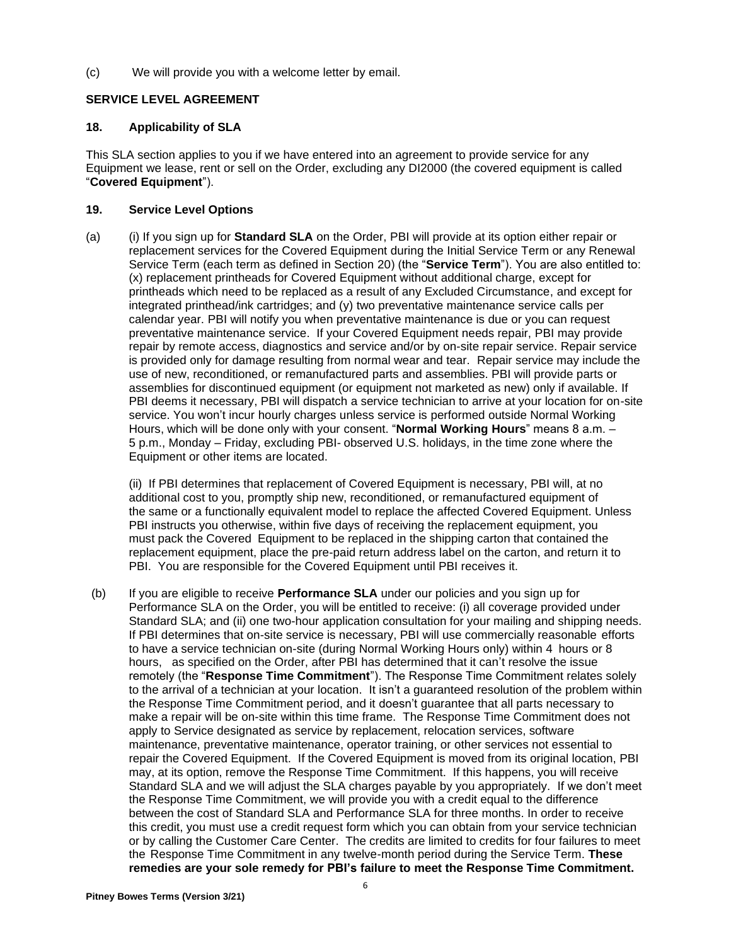(c) We will provide you with a welcome letter by email.

# **SERVICE LEVEL AGREEMENT**

## **18. Applicability of SLA**

This SLA section applies to you if we have entered into an agreement to provide service for any Equipment we lease, rent or sell on the Order, excluding any DI2000 (the covered equipment is called "**Covered Equipment**").

## **19. Service Level Options**

(a) (i) If you sign up for **Standard SLA** on the Order, PBI will provide at its option either repair or replacement services for the Covered Equipment during the Initial Service Term or any Renewal Service Term (each term as defined in Section 20) (the "**Service Term**"). You are also entitled to: (x) replacement printheads for Covered Equipment without additional charge, except for printheads which need to be replaced as a result of any Excluded Circumstance, and except for integrated printhead/ink cartridges; and (y) two preventative maintenance service calls per calendar year. PBI will notify you when preventative maintenance is due or you can request preventative maintenance service. If your Covered Equipment needs repair, PBI may provide repair by remote access, diagnostics and service and/or by on-site repair service. Repair service is provided only for damage resulting from normal wear and tear. Repair service may include the use of new, reconditioned, or remanufactured parts and assemblies. PBI will provide parts or assemblies for discontinued equipment (or equipment not marketed as new) only if available. If PBI deems it necessary, PBI will dispatch a service technician to arrive at your location for on-site service. You won't incur hourly charges unless service is performed outside Normal Working Hours, which will be done only with your consent. "**Normal Working Hours**" means 8 a.m. – 5 p.m., Monday – Friday, excluding PBI- observed U.S. holidays, in the time zone where the Equipment or other items are located.

(ii) If PBI determines that replacement of Covered Equipment is necessary, PBI will, at no additional cost to you, promptly ship new, reconditioned, or remanufactured equipment of the same or a functionally equivalent model to replace the affected Covered Equipment. Unless PBI instructs you otherwise, within five days of receiving the replacement equipment, you must pack the Covered Equipment to be replaced in the shipping carton that contained the replacement equipment, place the pre-paid return address label on the carton, and return it to PBI. You are responsible for the Covered Equipment until PBI receives it.

(b) If you are eligible to receive **Performance SLA** under our policies and you sign up for Performance SLA on the Order, you will be entitled to receive: (i) all coverage provided under Standard SLA; and (ii) one two-hour application consultation for your mailing and shipping needs. If PBI determines that on-site service is necessary, PBI will use commercially reasonable efforts to have a service technician on-site (during Normal Working Hours only) within 4 hours or 8 hours, as specified on the Order, after PBI has determined that it can't resolve the issue remotely (the "**Response Time Commitment**"). The Response Time Commitment relates solely to the arrival of a technician at your location. It isn't a guaranteed resolution of the problem within the Response Time Commitment period, and it doesn't guarantee that all parts necessary to make a repair will be on-site within this time frame. The Response Time Commitment does not apply to Service designated as service by replacement, relocation services, software maintenance, preventative maintenance, operator training, or other services not essential to repair the Covered Equipment. If the Covered Equipment is moved from its original location, PBI may, at its option, remove the Response Time Commitment. If this happens, you will receive Standard SLA and we will adjust the SLA charges payable by you appropriately. If we don't meet the Response Time Commitment, we will provide you with a credit equal to the difference between the cost of Standard SLA and Performance SLA for three months. In order to receive this credit, you must use a credit request form which you can obtain from your service technician or by calling the Customer Care Center. The credits are limited to credits for four failures to meet the Response Time Commitment in any twelve-month period during the Service Term. **These remedies are your sole remedy for PBI's failure to meet the Response Time Commitment.**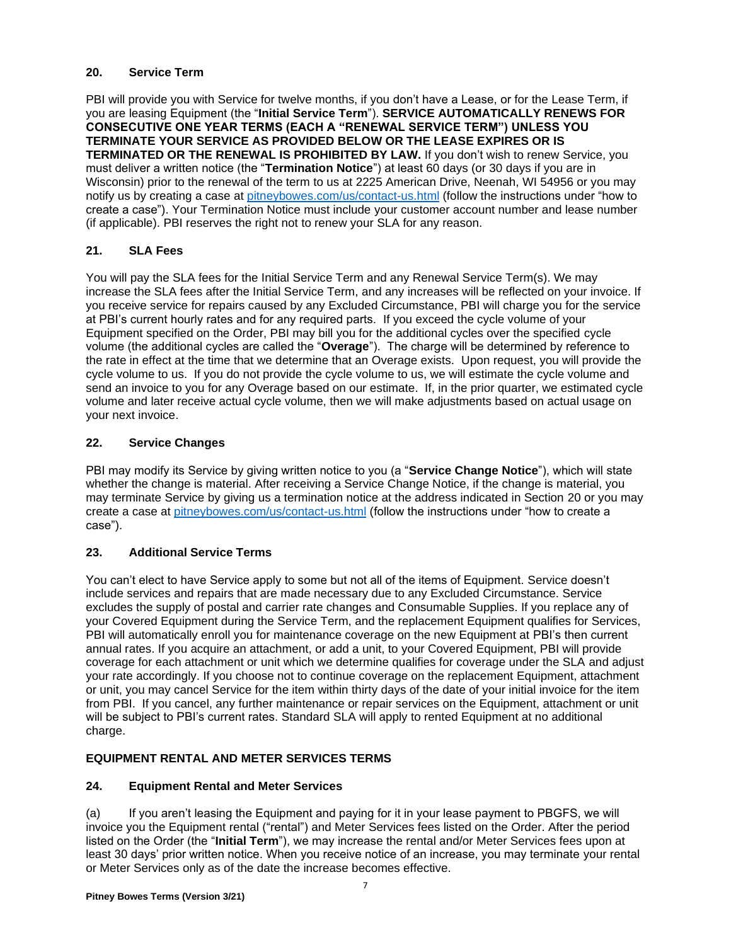# **20. Service Term**

PBI will provide you with Service for twelve months, if you don't have a Lease, or for the Lease Term, if you are leasing Equipment (the "**Initial Service Term**"). **SERVICE AUTOMATICALLY RENEWS FOR CONSECUTIVE ONE YEAR TERMS (EACH A "RENEWAL SERVICE TERM") UNLESS YOU TERMINATE YOUR SERVICE AS PROVIDED BELOW OR THE LEASE EXPIRES OR IS TERMINATED OR THE RENEWAL IS PROHIBITED BY LAW.** If you don't wish to renew Service, you must deliver a written notice (the "**Termination Notice**") at least 60 days (or 30 days if you are in Wisconsin) prior to the renewal of the term to us at 2225 American Drive, Neenah, WI 54956 or you may notify us by creating a case at [pitneybowes.com/us/contact-us.html](http://www.pitneybowes.com/us/contact-us.html) (follow the instructions under "how to create a case"). Your Termination Notice must include your customer account number and lease number (if applicable). PBI reserves the right not to renew your SLA for any reason.

# **21. SLA Fees**

You will pay the SLA fees for the Initial Service Term and any Renewal Service Term(s). We may increase the SLA fees after the Initial Service Term, and any increases will be reflected on your invoice. If you receive service for repairs caused by any Excluded Circumstance, PBI will charge you for the service at PBI's current hourly rates and for any required parts. If you exceed the cycle volume of your Equipment specified on the Order, PBI may bill you for the additional cycles over the specified cycle volume (the additional cycles are called the "**Overage**"). The charge will be determined by reference to the rate in effect at the time that we determine that an Overage exists. Upon request, you will provide the cycle volume to us. If you do not provide the cycle volume to us, we will estimate the cycle volume and send an invoice to you for any Overage based on our estimate. If, in the prior quarter, we estimated cycle volume and later receive actual cycle volume, then we will make adjustments based on actual usage on your next invoice.

# **22. Service Changes**

PBI may modify its Service by giving written notice to you (a "**Service Change Notice**"), which will state whether the change is material. After receiving a Service Change Notice, if the change is material, you may terminate Service by giving us a termination notice at the address indicated in Section 20 or you may create a case at [pitneybowes.com/us/contact-us.html](http://www.pitneybowes.com/us/contact-us.html) (follow the instructions under "how to create a case").

## **23. Additional Service Terms**

You can't elect to have Service apply to some but not all of the items of Equipment. Service doesn't include services and repairs that are made necessary due to any Excluded Circumstance. Service excludes the supply of postal and carrier rate changes and Consumable Supplies. If you replace any of your Covered Equipment during the Service Term, and the replacement Equipment qualifies for Services, PBI will automatically enroll you for maintenance coverage on the new Equipment at PBI's then current annual rates. If you acquire an attachment, or add a unit, to your Covered Equipment, PBI will provide coverage for each attachment or unit which we determine qualifies for coverage under the SLA and adjust your rate accordingly. If you choose not to continue coverage on the replacement Equipment, attachment or unit, you may cancel Service for the item within thirty days of the date of your initial invoice for the item from PBI. If you cancel, any further maintenance or repair services on the Equipment, attachment or unit will be subject to PBI's current rates. Standard SLA will apply to rented Equipment at no additional charge.

#### **EQUIPMENT RENTAL AND METER SERVICES TERMS**

# **24. Equipment Rental and Meter Services**

(a) If you aren't leasing the Equipment and paying for it in your lease payment to PBGFS, we will invoice you the Equipment rental ("rental") and Meter Services fees listed on the Order. After the period listed on the Order (the "**Initial Term**"), we may increase the rental and/or Meter Services fees upon at least 30 days' prior written notice. When you receive notice of an increase, you may terminate your rental or Meter Services only as of the date the increase becomes effective.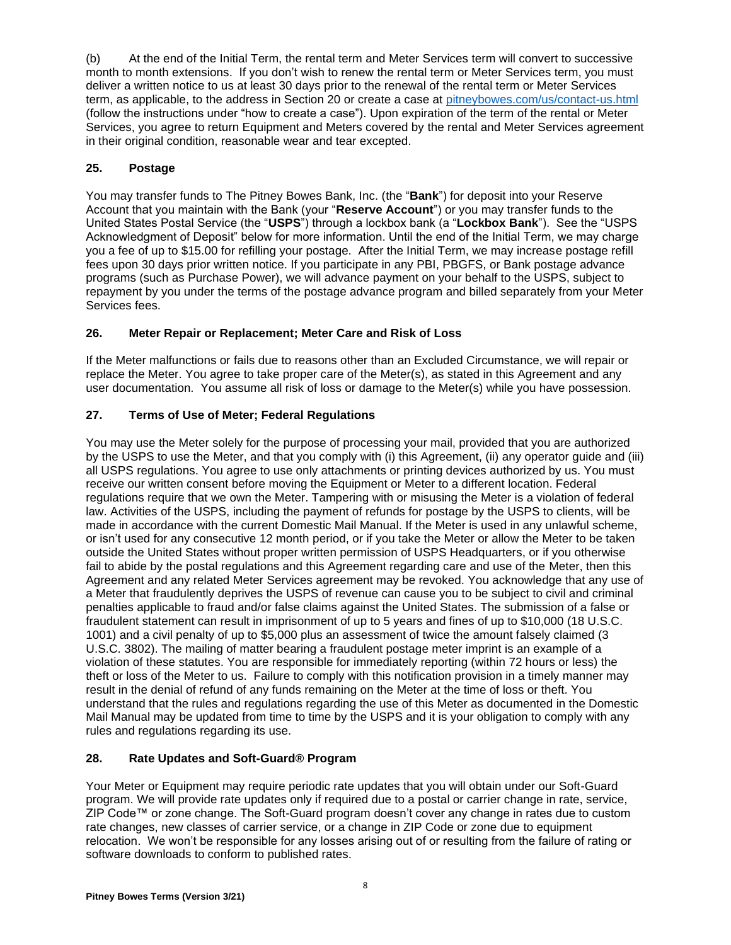(b) At the end of the Initial Term, the rental term and Meter Services term will convert to successive month to month extensions. If you don't wish to renew the rental term or Meter Services term, you must deliver a written notice to us at least 30 days prior to the renewal of the rental term or Meter Services term, as applicable, to the address in Section 20 or create a case at [pitneybowes.com/us/contact-us.html](http://www.pitneybowes.com/us/contact-us.html) (follow the instructions under "how to create a case"). Upon expiration of the term of the rental or Meter Services, you agree to return Equipment and Meters covered by the rental and Meter Services agreement in their original condition, reasonable wear and tear excepted.

# **25. Postage**

You may transfer funds to The Pitney Bowes Bank, Inc. (the "**Bank**") for deposit into your Reserve Account that you maintain with the Bank (your "**Reserve Account**") or you may transfer funds to the United States Postal Service (the "**USPS**") through a lockbox bank (a "**Lockbox Bank**"). See the "USPS Acknowledgment of Deposit" below for more information. Until the end of the Initial Term, we may charge you a fee of up to \$15.00 for refilling your postage. After the Initial Term, we may increase postage refill fees upon 30 days prior written notice. If you participate in any PBI, PBGFS, or Bank postage advance programs (such as Purchase Power), we will advance payment on your behalf to the USPS, subject to repayment by you under the terms of the postage advance program and billed separately from your Meter Services fees.

# **26. Meter Repair or Replacement; Meter Care and Risk of Loss**

If the Meter malfunctions or fails due to reasons other than an Excluded Circumstance, we will repair or replace the Meter. You agree to take proper care of the Meter(s), as stated in this Agreement and any user documentation. You assume all risk of loss or damage to the Meter(s) while you have possession.

# **27. Terms of Use of Meter; Federal Regulations**

You may use the Meter solely for the purpose of processing your mail, provided that you are authorized by the USPS to use the Meter, and that you comply with (i) this Agreement, (ii) any operator guide and (iii) all USPS regulations. You agree to use only attachments or printing devices authorized by us. You must receive our written consent before moving the Equipment or Meter to a different location. Federal regulations require that we own the Meter. Tampering with or misusing the Meter is a violation of federal law. Activities of the USPS, including the payment of refunds for postage by the USPS to clients, will be made in accordance with the current Domestic Mail Manual. If the Meter is used in any unlawful scheme, or isn't used for any consecutive 12 month period, or if you take the Meter or allow the Meter to be taken outside the United States without proper written permission of USPS Headquarters, or if you otherwise fail to abide by the postal regulations and this Agreement regarding care and use of the Meter, then this Agreement and any related Meter Services agreement may be revoked. You acknowledge that any use of a Meter that fraudulently deprives the USPS of revenue can cause you to be subject to civil and criminal penalties applicable to fraud and/or false claims against the United States. The submission of a false or fraudulent statement can result in imprisonment of up to 5 years and fines of up to \$10,000 (18 U.S.C. 1001) and a civil penalty of up to \$5,000 plus an assessment of twice the amount falsely claimed (3 U.S.C. 3802). The mailing of matter bearing a fraudulent postage meter imprint is an example of a violation of these statutes. You are responsible for immediately reporting (within 72 hours or less) the theft or loss of the Meter to us. Failure to comply with this notification provision in a timely manner may result in the denial of refund of any funds remaining on the Meter at the time of loss or theft. You understand that the rules and regulations regarding the use of this Meter as documented in the Domestic Mail Manual may be updated from time to time by the USPS and it is your obligation to comply with any rules and regulations regarding its use.

# **28. Rate Updates and Soft-Guard® Program**

Your Meter or Equipment may require periodic rate updates that you will obtain under our Soft-Guard program. We will provide rate updates only if required due to a postal or carrier change in rate, service, ZIP Code™ or zone change. The Soft-Guard program doesn't cover any change in rates due to custom rate changes, new classes of carrier service, or a change in ZIP Code or zone due to equipment relocation. We won't be responsible for any losses arising out of or resulting from the failure of rating or software downloads to conform to published rates.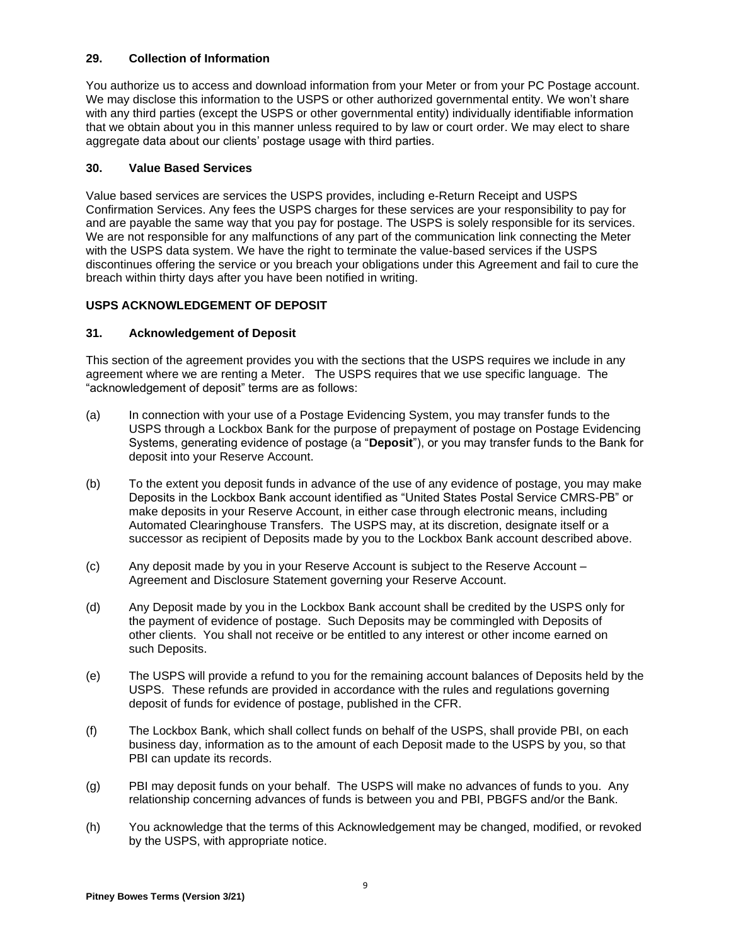# **29. Collection of Information**

You authorize us to access and download information from your Meter or from your PC Postage account. We may disclose this information to the USPS or other authorized governmental entity. We won't share with any third parties (except the USPS or other governmental entity) individually identifiable information that we obtain about you in this manner unless required to by law or court order. We may elect to share aggregate data about our clients' postage usage with third parties.

#### **30. Value Based Services**

Value based services are services the USPS provides, including e-Return Receipt and USPS Confirmation Services. Any fees the USPS charges for these services are your responsibility to pay for and are payable the same way that you pay for postage. The USPS is solely responsible for its services. We are not responsible for any malfunctions of any part of the communication link connecting the Meter with the USPS data system. We have the right to terminate the value-based services if the USPS discontinues offering the service or you breach your obligations under this Agreement and fail to cure the breach within thirty days after you have been notified in writing.

## **USPS ACKNOWLEDGEMENT OF DEPOSIT**

## **31. Acknowledgement of Deposit**

This section of the agreement provides you with the sections that the USPS requires we include in any agreement where we are renting a Meter. The USPS requires that we use specific language. The "acknowledgement of deposit" terms are as follows:

- (a) In connection with your use of a Postage Evidencing System, you may transfer funds to the USPS through a Lockbox Bank for the purpose of prepayment of postage on Postage Evidencing Systems, generating evidence of postage (a "**Deposit**"), or you may transfer funds to the Bank for deposit into your Reserve Account.
- (b) To the extent you deposit funds in advance of the use of any evidence of postage, you may make Deposits in the Lockbox Bank account identified as "United States Postal Service CMRS-PB" or make deposits in your Reserve Account, in either case through electronic means, including Automated Clearinghouse Transfers. The USPS may, at its discretion, designate itself or a successor as recipient of Deposits made by you to the Lockbox Bank account described above.
- (c) Any deposit made by you in your Reserve Account is subject to the Reserve Account Agreement and Disclosure Statement governing your Reserve Account.
- (d) Any Deposit made by you in the Lockbox Bank account shall be credited by the USPS only for the payment of evidence of postage. Such Deposits may be commingled with Deposits of other clients. You shall not receive or be entitled to any interest or other income earned on such Deposits.
- (e) The USPS will provide a refund to you for the remaining account balances of Deposits held by the USPS. These refunds are provided in accordance with the rules and regulations governing deposit of funds for evidence of postage, published in the CFR.
- (f) The Lockbox Bank, which shall collect funds on behalf of the USPS, shall provide PBI, on each business day, information as to the amount of each Deposit made to the USPS by you, so that PBI can update its records.
- (g) PBI may deposit funds on your behalf. The USPS will make no advances of funds to you. Any relationship concerning advances of funds is between you and PBI, PBGFS and/or the Bank.
- (h) You acknowledge that the terms of this Acknowledgement may be changed, modified, or revoked by the USPS, with appropriate notice.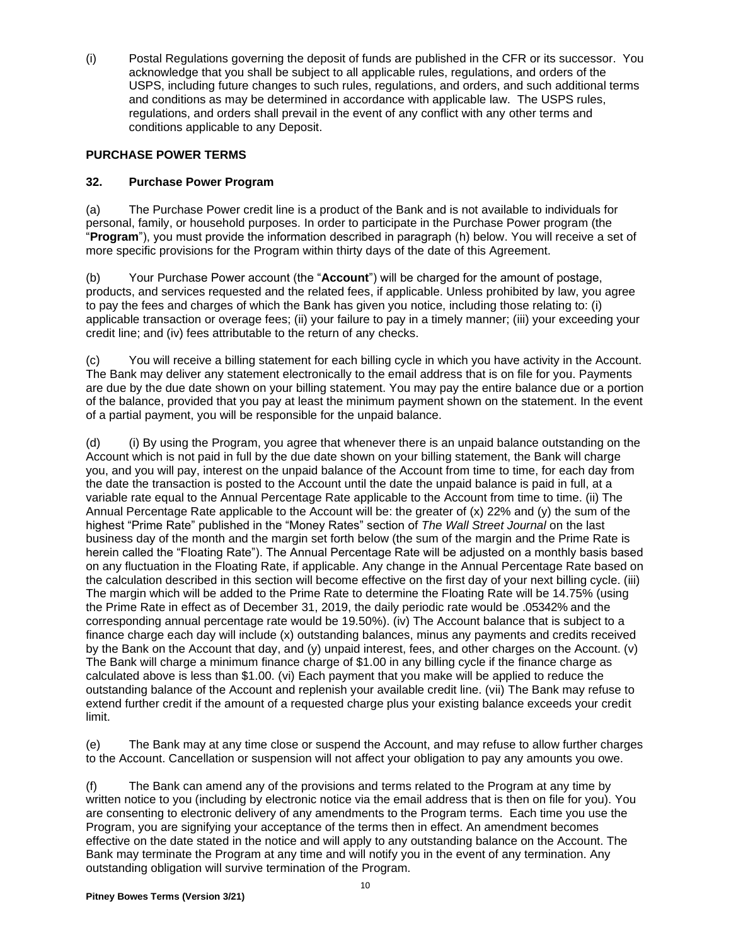(i) Postal Regulations governing the deposit of funds are published in the CFR or its successor. You acknowledge that you shall be subject to all applicable rules, regulations, and orders of the USPS, including future changes to such rules, regulations, and orders, and such additional terms and conditions as may be determined in accordance with applicable law. The USPS rules, regulations, and orders shall prevail in the event of any conflict with any other terms and conditions applicable to any Deposit.

# **PURCHASE POWER TERMS**

# **32. Purchase Power Program**

(a) The Purchase Power credit line is a product of the Bank and is not available to individuals for personal, family, or household purposes. In order to participate in the Purchase Power program (the "**Program**"), you must provide the information described in paragraph (h) below. You will receive a set of more specific provisions for the Program within thirty days of the date of this Agreement.

(b) Your Purchase Power account (the "**Account**") will be charged for the amount of postage, products, and services requested and the related fees, if applicable. Unless prohibited by law, you agree to pay the fees and charges of which the Bank has given you notice, including those relating to: (i) applicable transaction or overage fees; (ii) your failure to pay in a timely manner; (iii) your exceeding your credit line; and (iv) fees attributable to the return of any checks.

(c) You will receive a billing statement for each billing cycle in which you have activity in the Account. The Bank may deliver any statement electronically to the email address that is on file for you. Payments are due by the due date shown on your billing statement. You may pay the entire balance due or a portion of the balance, provided that you pay at least the minimum payment shown on the statement. In the event of a partial payment, you will be responsible for the unpaid balance.

(d) (i) By using the Program, you agree that whenever there is an unpaid balance outstanding on the Account which is not paid in full by the due date shown on your billing statement, the Bank will charge you, and you will pay, interest on the unpaid balance of the Account from time to time, for each day from the date the transaction is posted to the Account until the date the unpaid balance is paid in full, at a variable rate equal to the Annual Percentage Rate applicable to the Account from time to time. (ii) The Annual Percentage Rate applicable to the Account will be: the greater of (x) 22% and (y) the sum of the highest "Prime Rate" published in the "Money Rates" section of *The Wall Street Journal* on the last business day of the month and the margin set forth below (the sum of the margin and the Prime Rate is herein called the "Floating Rate"). The Annual Percentage Rate will be adjusted on a monthly basis based on any fluctuation in the Floating Rate, if applicable. Any change in the Annual Percentage Rate based on the calculation described in this section will become effective on the first day of your next billing cycle. (iii) The margin which will be added to the Prime Rate to determine the Floating Rate will be 14.75% (using the Prime Rate in effect as of December 31, 2019, the daily periodic rate would be .05342% and the corresponding annual percentage rate would be 19.50%). (iv) The Account balance that is subject to a finance charge each day will include (x) outstanding balances, minus any payments and credits received by the Bank on the Account that day, and (y) unpaid interest, fees, and other charges on the Account. (v) The Bank will charge a minimum finance charge of \$1.00 in any billing cycle if the finance charge as calculated above is less than \$1.00. (vi) Each payment that you make will be applied to reduce the outstanding balance of the Account and replenish your available credit line. (vii) The Bank may refuse to extend further credit if the amount of a requested charge plus your existing balance exceeds your credit limit.

(e) The Bank may at any time close or suspend the Account, and may refuse to allow further charges to the Account. Cancellation or suspension will not affect your obligation to pay any amounts you owe.

(f) The Bank can amend any of the provisions and terms related to the Program at any time by written notice to you (including by electronic notice via the email address that is then on file for you). You are consenting to electronic delivery of any amendments to the Program terms. Each time you use the Program, you are signifying your acceptance of the terms then in effect. An amendment becomes effective on the date stated in the notice and will apply to any outstanding balance on the Account. The Bank may terminate the Program at any time and will notify you in the event of any termination. Any outstanding obligation will survive termination of the Program.